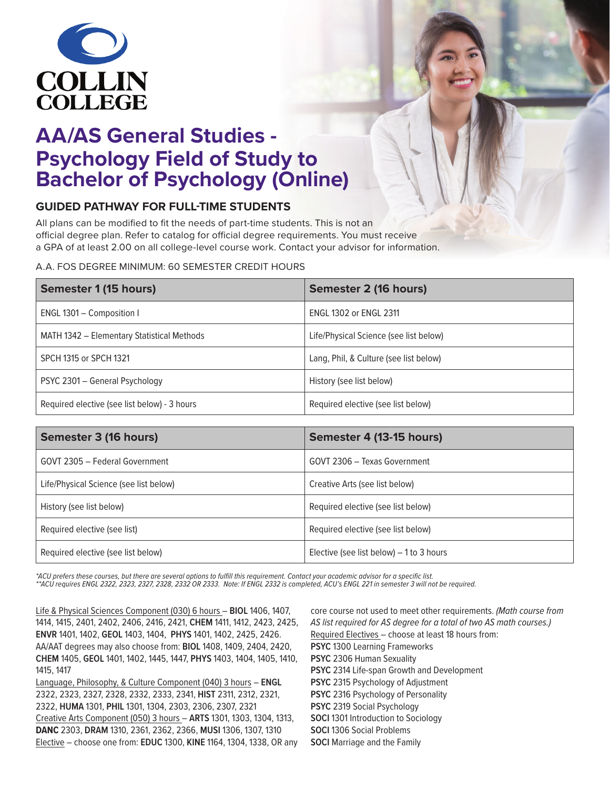

## **AA/AS General Studies - Psychology Field of Study to Bachelor of Psychology (Online)**

### **GUIDED PATHWAY FOR FULL-TIME STUDENTS**

All plans can be modified to fit the needs of part-time students. This is not an official degree plan. Refer to catalog for official degree requirements. You must receive a GPA of at least 2.00 on all college-level course work. Contact your advisor for information.

#### A.A. FOS DEGREE MINIMUM: 60 SEMESTER CREDIT HOURS

| Semester 1 (15 hours)                        | Semester 2 (16 hours)                  |
|----------------------------------------------|----------------------------------------|
| ENGL 1301 - Composition I                    | <b>ENGL 1302 or ENGL 2311</b>          |
| MATH 1342 - Elementary Statistical Methods   | Life/Physical Science (see list below) |
| SPCH 1315 or SPCH 1321                       | Lang, Phil, & Culture (see list below) |
| PSYC 2301 - General Psychology               | History (see list below)               |
| Required elective (see list below) - 3 hours | Required elective (see list below)     |

| Semester 3 (16 hours)                  | Semester 4 (13-15 hours)                  |
|----------------------------------------|-------------------------------------------|
| GOVT 2305 - Federal Government         | GOVT 2306 - Texas Government              |
| Life/Physical Science (see list below) | Creative Arts (see list below)            |
| History (see list below)               | Required elective (see list below)        |
| Required elective (see list)           | Required elective (see list below)        |
| Required elective (see list below)     | Elective (see list below) $-1$ to 3 hours |

\*ACU prefers these courses, but there are several options to fulfill this requirement. Contact your academic advisor for a specific list.

*\*\*ACU requires ENGL 2322, 2323, 2327, 2328, 2332 OR 2333. Note: If ENGL 2332 is completed, ACU's ENGL 221 in semester 3 will not be required.*

Life & Physical Sciences Component (030) 6 hours – **BIOL** 1406, 1407, 1414, 1415, 2401, 2402, 2406, 2416, 2421, **CHEM** 1411, 1412, 2423, 2425, **ENVR** 1401, 1402, **GEOL** 1403, 1404, **PHYS** 1401, 1402, 2425, 2426. AA/AAT degrees may also choose from: **BIOL** 1408, 1409, 2404, 2420, **CHEM** 1405, **GEOL** 1401, 1402, 1445, 1447, **PHYS** 1403, 1404, 1405, 1410, 1415, 1417

Language, Philosophy, & Culture Component (040) 3 hours – **ENGL**  2322, 2323, 2327, 2328, 2332, 2333, 2341, **HIST** 2311, 2312, 2321, 2322, **HUMA** 1301, **PHIL** 1301, 1304, 2303, 2306, 2307, 2321 Creative Arts Component (050) 3 hours – **ARTS** 1301, 1303, 1304, 1313, **DANC** 2303, **DRAM** 1310, 2361, 2362, 2366, **MUSI** 1306, 1307, 1310 Elective – choose one from: **EDUC** 1300, **KINE** 1164, 1304, 1338, OR any core course not used to meet other requirements. *(Math course from AS list required for AS degree for a total of two AS math courses.)* Required Electives – choose at least 18 hours from: **PSYC** 1300 Learning Frameworks **PSYC** 2306 Human Sexuality **PSYC** 2314 Life-span Growth and Development **PSYC** 2315 Psychology of Adjustment **PSYC** 2316 Psychology of Personality **PSYC** 2319 Social Psychology **SOCI** 1301 Introduction to Sociology **SOCI** 1306 Social Problems **SOCI** Marriage and the Family